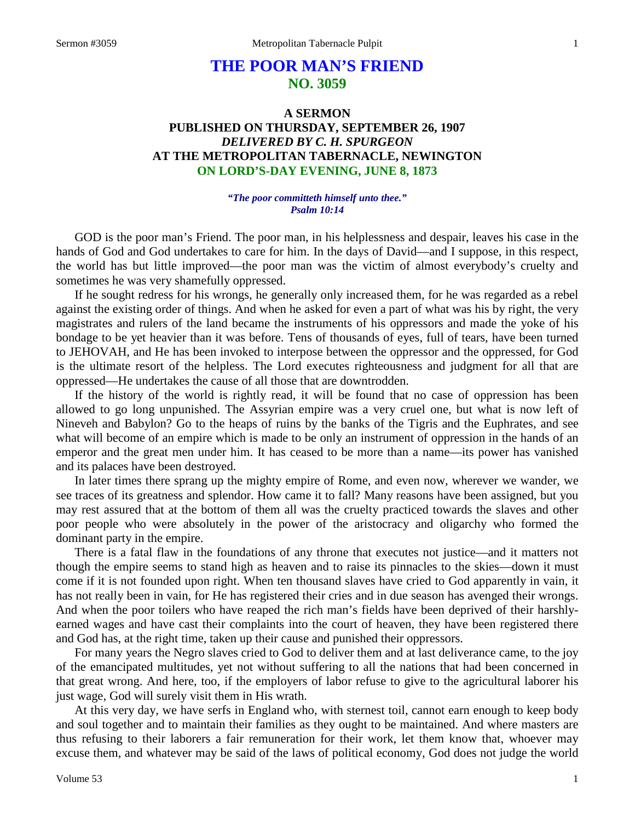# **THE POOR MAN'S FRIEND NO. 3059**

## **A SERMON PUBLISHED ON THURSDAY, SEPTEMBER 26, 1907** *DELIVERED BY C. H. SPURGEON* **AT THE METROPOLITAN TABERNACLE, NEWINGTON ON LORD'S-DAY EVENING, JUNE 8, 1873**

#### *"The poor committeth himself unto thee." Psalm 10:14*

GOD is the poor man's Friend. The poor man, in his helplessness and despair, leaves his case in the hands of God and God undertakes to care for him. In the days of David—and I suppose, in this respect, the world has but little improved—the poor man was the victim of almost everybody's cruelty and sometimes he was very shamefully oppressed.

If he sought redress for his wrongs, he generally only increased them, for he was regarded as a rebel against the existing order of things. And when he asked for even a part of what was his by right, the very magistrates and rulers of the land became the instruments of his oppressors and made the yoke of his bondage to be yet heavier than it was before. Tens of thousands of eyes, full of tears, have been turned to JEHOVAH, and He has been invoked to interpose between the oppressor and the oppressed, for God is the ultimate resort of the helpless. The Lord executes righteousness and judgment for all that are oppressed—He undertakes the cause of all those that are downtrodden.

If the history of the world is rightly read, it will be found that no case of oppression has been allowed to go long unpunished. The Assyrian empire was a very cruel one, but what is now left of Nineveh and Babylon? Go to the heaps of ruins by the banks of the Tigris and the Euphrates, and see what will become of an empire which is made to be only an instrument of oppression in the hands of an emperor and the great men under him. It has ceased to be more than a name—its power has vanished and its palaces have been destroyed.

In later times there sprang up the mighty empire of Rome, and even now, wherever we wander, we see traces of its greatness and splendor. How came it to fall? Many reasons have been assigned, but you may rest assured that at the bottom of them all was the cruelty practiced towards the slaves and other poor people who were absolutely in the power of the aristocracy and oligarchy who formed the dominant party in the empire.

There is a fatal flaw in the foundations of any throne that executes not justice—and it matters not though the empire seems to stand high as heaven and to raise its pinnacles to the skies—down it must come if it is not founded upon right. When ten thousand slaves have cried to God apparently in vain, it has not really been in vain, for He has registered their cries and in due season has avenged their wrongs. And when the poor toilers who have reaped the rich man's fields have been deprived of their harshlyearned wages and have cast their complaints into the court of heaven, they have been registered there and God has, at the right time, taken up their cause and punished their oppressors.

For many years the Negro slaves cried to God to deliver them and at last deliverance came, to the joy of the emancipated multitudes, yet not without suffering to all the nations that had been concerned in that great wrong. And here, too, if the employers of labor refuse to give to the agricultural laborer his just wage, God will surely visit them in His wrath.

At this very day, we have serfs in England who, with sternest toil, cannot earn enough to keep body and soul together and to maintain their families as they ought to be maintained. And where masters are thus refusing to their laborers a fair remuneration for their work, let them know that, whoever may excuse them, and whatever may be said of the laws of political economy, God does not judge the world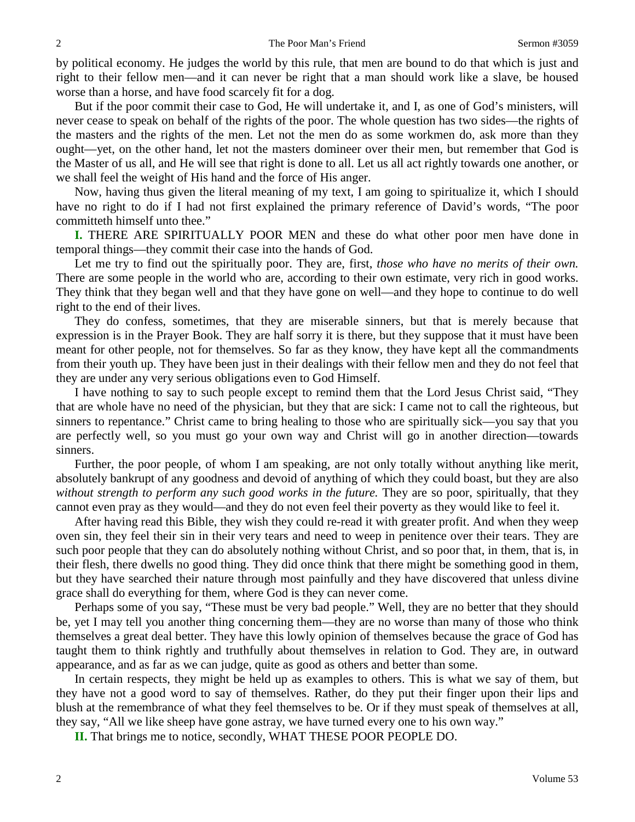by political economy. He judges the world by this rule, that men are bound to do that which is just and right to their fellow men—and it can never be right that a man should work like a slave, be housed worse than a horse, and have food scarcely fit for a dog.

But if the poor commit their case to God, He will undertake it, and I, as one of God's ministers, will never cease to speak on behalf of the rights of the poor. The whole question has two sides—the rights of the masters and the rights of the men. Let not the men do as some workmen do, ask more than they ought—yet, on the other hand, let not the masters domineer over their men, but remember that God is the Master of us all, and He will see that right is done to all. Let us all act rightly towards one another, or we shall feel the weight of His hand and the force of His anger.

Now, having thus given the literal meaning of my text, I am going to spiritualize it, which I should have no right to do if I had not first explained the primary reference of David's words, "The poor committeth himself unto thee."

**I.** THERE ARE SPIRITUALLY POOR MEN and these do what other poor men have done in temporal things—they commit their case into the hands of God.

Let me try to find out the spiritually poor. They are, first, *those who have no merits of their own.*  There are some people in the world who are, according to their own estimate, very rich in good works. They think that they began well and that they have gone on well—and they hope to continue to do well right to the end of their lives.

They do confess, sometimes, that they are miserable sinners, but that is merely because that expression is in the Prayer Book. They are half sorry it is there, but they suppose that it must have been meant for other people, not for themselves. So far as they know, they have kept all the commandments from their youth up. They have been just in their dealings with their fellow men and they do not feel that they are under any very serious obligations even to God Himself.

I have nothing to say to such people except to remind them that the Lord Jesus Christ said, "They that are whole have no need of the physician, but they that are sick: I came not to call the righteous, but sinners to repentance." Christ came to bring healing to those who are spiritually sick—you say that you are perfectly well, so you must go your own way and Christ will go in another direction—towards sinners.

Further, the poor people, of whom I am speaking, are not only totally without anything like merit, absolutely bankrupt of any goodness and devoid of anything of which they could boast, but they are also *without strength to perform any such good works in the future.* They are so poor, spiritually, that they cannot even pray as they would—and they do not even feel their poverty as they would like to feel it.

After having read this Bible, they wish they could re-read it with greater profit. And when they weep oven sin, they feel their sin in their very tears and need to weep in penitence over their tears. They are such poor people that they can do absolutely nothing without Christ, and so poor that, in them, that is, in their flesh, there dwells no good thing. They did once think that there might be something good in them, but they have searched their nature through most painfully and they have discovered that unless divine grace shall do everything for them, where God is they can never come.

Perhaps some of you say, "These must be very bad people." Well, they are no better that they should be, yet I may tell you another thing concerning them—they are no worse than many of those who think themselves a great deal better. They have this lowly opinion of themselves because the grace of God has taught them to think rightly and truthfully about themselves in relation to God. They are, in outward appearance, and as far as we can judge, quite as good as others and better than some.

In certain respects, they might be held up as examples to others. This is what we say of them, but they have not a good word to say of themselves. Rather, do they put their finger upon their lips and blush at the remembrance of what they feel themselves to be. Or if they must speak of themselves at all, they say, "All we like sheep have gone astray, we have turned every one to his own way."

**II.** That brings me to notice, secondly, WHAT THESE POOR PEOPLE DO.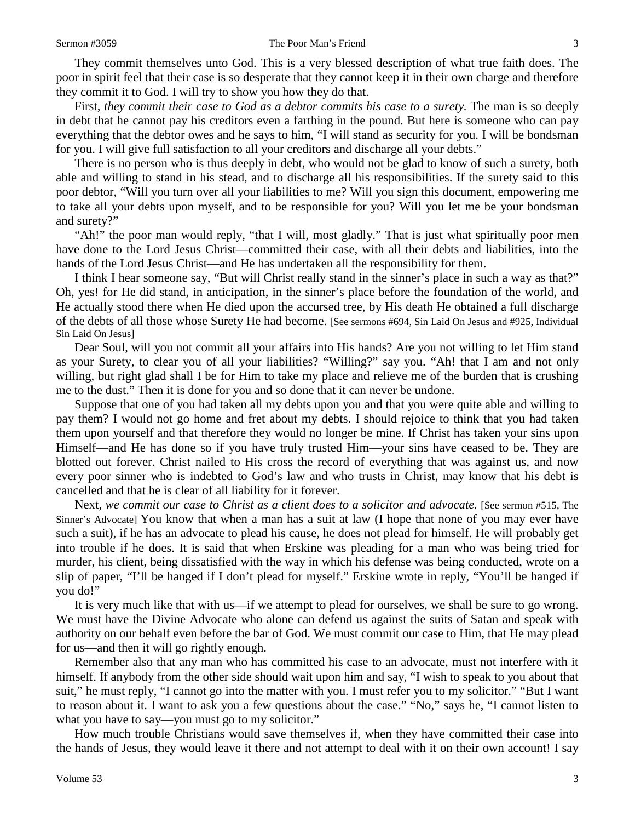They commit themselves unto God. This is a very blessed description of what true faith does. The poor in spirit feel that their case is so desperate that they cannot keep it in their own charge and therefore they commit it to God. I will try to show you how they do that.

First, *they commit their case to God as a debtor commits his case to a surety*. The man is so deeply in debt that he cannot pay his creditors even a farthing in the pound. But here is someone who can pay everything that the debtor owes and he says to him, "I will stand as security for you. I will be bondsman for you. I will give full satisfaction to all your creditors and discharge all your debts."

There is no person who is thus deeply in debt, who would not be glad to know of such a surety, both able and willing to stand in his stead, and to discharge all his responsibilities. If the surety said to this poor debtor, "Will you turn over all your liabilities to me? Will you sign this document, empowering me to take all your debts upon myself, and to be responsible for you? Will you let me be your bondsman and surety?"

"Ah!" the poor man would reply, "that I will, most gladly." That is just what spiritually poor men have done to the Lord Jesus Christ—committed their case, with all their debts and liabilities, into the hands of the Lord Jesus Christ—and He has undertaken all the responsibility for them.

I think I hear someone say, "But will Christ really stand in the sinner's place in such a way as that?" Oh, yes! for He did stand, in anticipation, in the sinner's place before the foundation of the world, and He actually stood there when He died upon the accursed tree, by His death He obtained a full discharge of the debts of all those whose Surety He had become. [See sermons #694, Sin Laid On Jesus and #925, Individual Sin Laid On Jesus]

Dear Soul, will you not commit all your affairs into His hands? Are you not willing to let Him stand as your Surety, to clear you of all your liabilities? "Willing?" say you. "Ah! that I am and not only willing, but right glad shall I be for Him to take my place and relieve me of the burden that is crushing me to the dust." Then it is done for you and so done that it can never be undone.

Suppose that one of you had taken all my debts upon you and that you were quite able and willing to pay them? I would not go home and fret about my debts. I should rejoice to think that you had taken them upon yourself and that therefore they would no longer be mine. If Christ has taken your sins upon Himself—and He has done so if you have truly trusted Him—your sins have ceased to be. They are blotted out forever. Christ nailed to His cross the record of everything that was against us, and now every poor sinner who is indebted to God's law and who trusts in Christ, may know that his debt is cancelled and that he is clear of all liability for it forever.

Next, we commit our case to Christ as a client does to a solicitor and advocate. [See sermon #515, The Sinner's Advocate] You know that when a man has a suit at law (I hope that none of you may ever have such a suit), if he has an advocate to plead his cause, he does not plead for himself. He will probably get into trouble if he does. It is said that when Erskine was pleading for a man who was being tried for murder, his client, being dissatisfied with the way in which his defense was being conducted, wrote on a slip of paper, "I'll be hanged if I don't plead for myself." Erskine wrote in reply, "You'll be hanged if you do!"

It is very much like that with us—if we attempt to plead for ourselves, we shall be sure to go wrong. We must have the Divine Advocate who alone can defend us against the suits of Satan and speak with authority on our behalf even before the bar of God. We must commit our case to Him, that He may plead for us—and then it will go rightly enough.

Remember also that any man who has committed his case to an advocate, must not interfere with it himself. If anybody from the other side should wait upon him and say, "I wish to speak to you about that suit," he must reply, "I cannot go into the matter with you. I must refer you to my solicitor." "But I want to reason about it. I want to ask you a few questions about the case." "No," says he, "I cannot listen to what you have to say—you must go to my solicitor."

How much trouble Christians would save themselves if, when they have committed their case into the hands of Jesus, they would leave it there and not attempt to deal with it on their own account! I say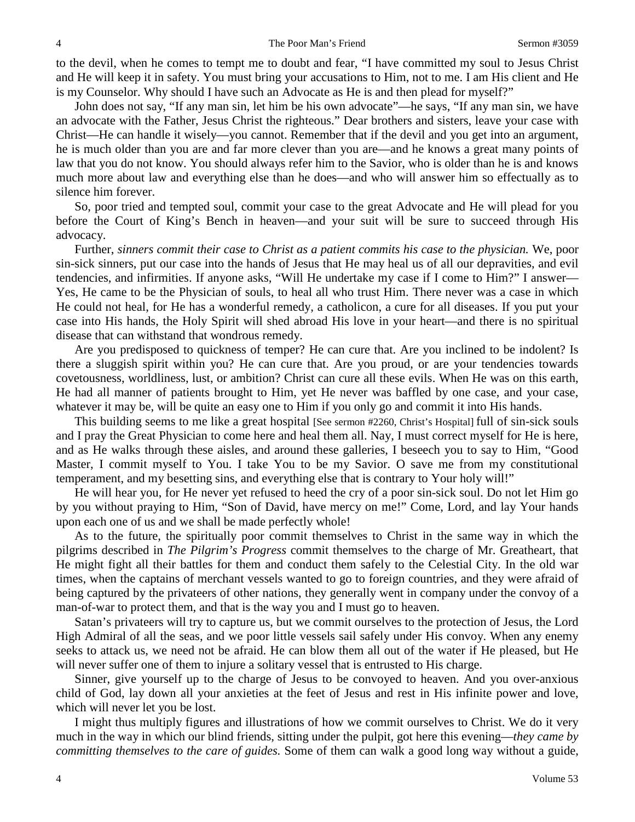to the devil, when he comes to tempt me to doubt and fear, "I have committed my soul to Jesus Christ and He will keep it in safety. You must bring your accusations to Him, not to me. I am His client and He is my Counselor. Why should I have such an Advocate as He is and then plead for myself?"

John does not say, "If any man sin, let him be his own advocate"—he says, "If any man sin, we have an advocate with the Father, Jesus Christ the righteous." Dear brothers and sisters, leave your case with Christ—He can handle it wisely—you cannot. Remember that if the devil and you get into an argument, he is much older than you are and far more clever than you are—and he knows a great many points of law that you do not know. You should always refer him to the Savior, who is older than he is and knows much more about law and everything else than he does—and who will answer him so effectually as to silence him forever.

So, poor tried and tempted soul, commit your case to the great Advocate and He will plead for you before the Court of King's Bench in heaven—and your suit will be sure to succeed through His advocacy.

Further, *sinners commit their case to Christ as a patient commits his case to the physician.* We, poor sin-sick sinners, put our case into the hands of Jesus that He may heal us of all our depravities, and evil tendencies, and infirmities. If anyone asks, "Will He undertake my case if I come to Him?" I answer— Yes, He came to be the Physician of souls, to heal all who trust Him. There never was a case in which He could not heal, for He has a wonderful remedy, a catholicon, a cure for all diseases. If you put your case into His hands, the Holy Spirit will shed abroad His love in your heart—and there is no spiritual disease that can withstand that wondrous remedy.

Are you predisposed to quickness of temper? He can cure that. Are you inclined to be indolent? Is there a sluggish spirit within you? He can cure that. Are you proud, or are your tendencies towards covetousness, worldliness, lust, or ambition? Christ can cure all these evils. When He was on this earth, He had all manner of patients brought to Him, yet He never was baffled by one case, and your case, whatever it may be, will be quite an easy one to Him if you only go and commit it into His hands.

This building seems to me like a great hospital [See sermon #2260, Christ's Hospital] full of sin-sick souls and I pray the Great Physician to come here and heal them all. Nay, I must correct myself for He is here, and as He walks through these aisles, and around these galleries, I beseech you to say to Him, "Good Master, I commit myself to You. I take You to be my Savior. O save me from my constitutional temperament, and my besetting sins, and everything else that is contrary to Your holy will!"

He will hear you, for He never yet refused to heed the cry of a poor sin-sick soul. Do not let Him go by you without praying to Him, "Son of David, have mercy on me!" Come, Lord, and lay Your hands upon each one of us and we shall be made perfectly whole!

As to the future, the spiritually poor commit themselves to Christ in the same way in which the pilgrims described in *The Pilgrim's Progress* commit themselves to the charge of Mr. Greatheart, that He might fight all their battles for them and conduct them safely to the Celestial City. In the old war times, when the captains of merchant vessels wanted to go to foreign countries, and they were afraid of being captured by the privateers of other nations, they generally went in company under the convoy of a man-of-war to protect them, and that is the way you and I must go to heaven.

Satan's privateers will try to capture us, but we commit ourselves to the protection of Jesus, the Lord High Admiral of all the seas, and we poor little vessels sail safely under His convoy. When any enemy seeks to attack us, we need not be afraid. He can blow them all out of the water if He pleased, but He will never suffer one of them to injure a solitary vessel that is entrusted to His charge.

Sinner, give yourself up to the charge of Jesus to be convoyed to heaven. And you over-anxious child of God, lay down all your anxieties at the feet of Jesus and rest in His infinite power and love, which will never let you be lost.

I might thus multiply figures and illustrations of how we commit ourselves to Christ. We do it very much in the way in which our blind friends, sitting under the pulpit, got here this evening—*they came by committing themselves to the care of guides.* Some of them can walk a good long way without a guide,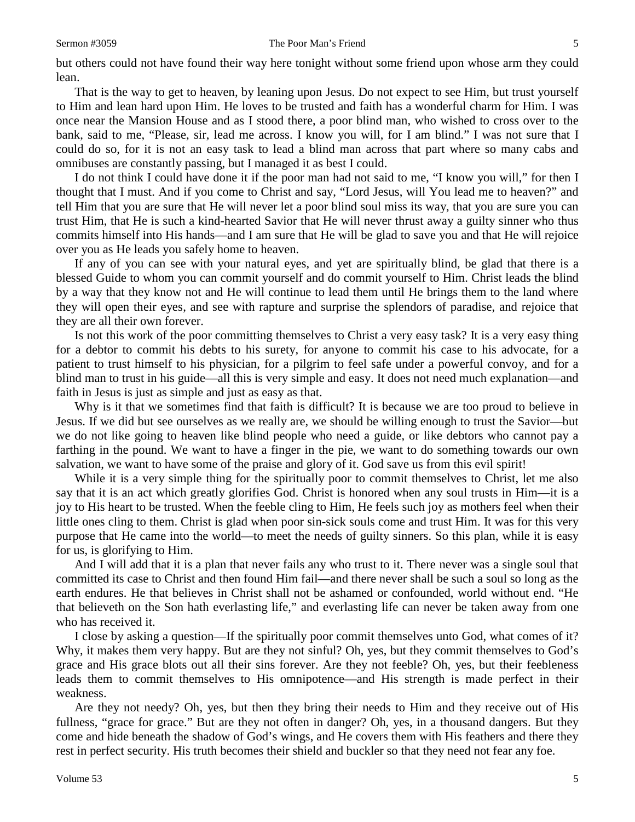but others could not have found their way here tonight without some friend upon whose arm they could lean.

That is the way to get to heaven, by leaning upon Jesus. Do not expect to see Him, but trust yourself to Him and lean hard upon Him. He loves to be trusted and faith has a wonderful charm for Him. I was once near the Mansion House and as I stood there, a poor blind man, who wished to cross over to the bank, said to me, "Please, sir, lead me across. I know you will, for I am blind." I was not sure that I could do so, for it is not an easy task to lead a blind man across that part where so many cabs and omnibuses are constantly passing, but I managed it as best I could.

I do not think I could have done it if the poor man had not said to me, "I know you will," for then I thought that I must. And if you come to Christ and say, "Lord Jesus, will You lead me to heaven?" and tell Him that you are sure that He will never let a poor blind soul miss its way, that you are sure you can trust Him, that He is such a kind-hearted Savior that He will never thrust away a guilty sinner who thus commits himself into His hands—and I am sure that He will be glad to save you and that He will rejoice over you as He leads you safely home to heaven.

If any of you can see with your natural eyes, and yet are spiritually blind, be glad that there is a blessed Guide to whom you can commit yourself and do commit yourself to Him. Christ leads the blind by a way that they know not and He will continue to lead them until He brings them to the land where they will open their eyes, and see with rapture and surprise the splendors of paradise, and rejoice that they are all their own forever.

Is not this work of the poor committing themselves to Christ a very easy task? It is a very easy thing for a debtor to commit his debts to his surety, for anyone to commit his case to his advocate, for a patient to trust himself to his physician, for a pilgrim to feel safe under a powerful convoy, and for a blind man to trust in his guide—all this is very simple and easy. It does not need much explanation—and faith in Jesus is just as simple and just as easy as that.

Why is it that we sometimes find that faith is difficult? It is because we are too proud to believe in Jesus. If we did but see ourselves as we really are, we should be willing enough to trust the Savior—but we do not like going to heaven like blind people who need a guide, or like debtors who cannot pay a farthing in the pound. We want to have a finger in the pie, we want to do something towards our own salvation, we want to have some of the praise and glory of it. God save us from this evil spirit!

While it is a very simple thing for the spiritually poor to commit themselves to Christ, let me also say that it is an act which greatly glorifies God. Christ is honored when any soul trusts in Him—it is a joy to His heart to be trusted. When the feeble cling to Him, He feels such joy as mothers feel when their little ones cling to them. Christ is glad when poor sin-sick souls come and trust Him. It was for this very purpose that He came into the world—to meet the needs of guilty sinners. So this plan, while it is easy for us, is glorifying to Him.

And I will add that it is a plan that never fails any who trust to it. There never was a single soul that committed its case to Christ and then found Him fail—and there never shall be such a soul so long as the earth endures. He that believes in Christ shall not be ashamed or confounded, world without end. "He that believeth on the Son hath everlasting life," and everlasting life can never be taken away from one who has received it.

I close by asking a question—If the spiritually poor commit themselves unto God, what comes of it? Why, it makes them very happy. But are they not sinful? Oh, yes, but they commit themselves to God's grace and His grace blots out all their sins forever. Are they not feeble? Oh, yes, but their feebleness leads them to commit themselves to His omnipotence—and His strength is made perfect in their weakness.

Are they not needy? Oh, yes, but then they bring their needs to Him and they receive out of His fullness, "grace for grace." But are they not often in danger? Oh, yes, in a thousand dangers. But they come and hide beneath the shadow of God's wings, and He covers them with His feathers and there they rest in perfect security. His truth becomes their shield and buckler so that they need not fear any foe.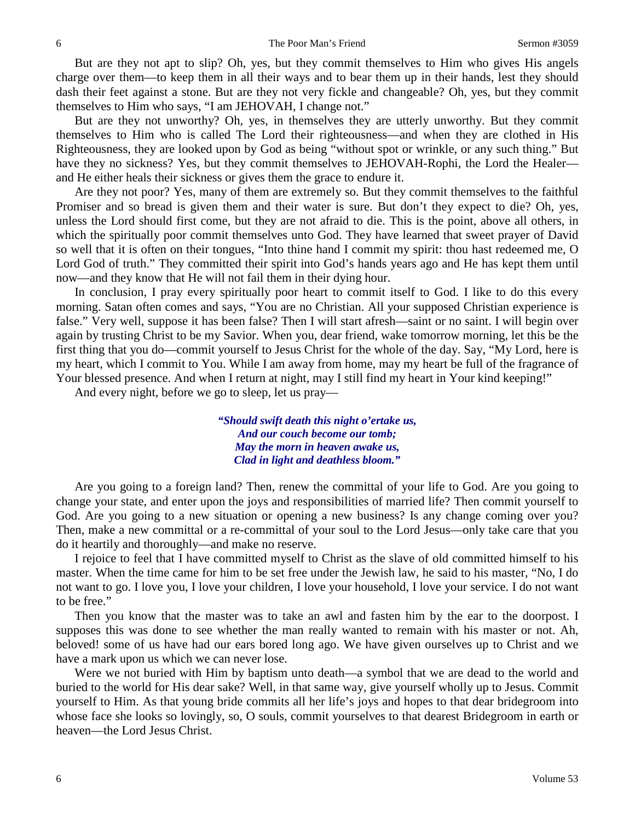But are they not apt to slip? Oh, yes, but they commit themselves to Him who gives His angels charge over them—to keep them in all their ways and to bear them up in their hands, lest they should dash their feet against a stone. But are they not very fickle and changeable? Oh, yes, but they commit themselves to Him who says, "I am JEHOVAH, I change not."

But are they not unworthy? Oh, yes, in themselves they are utterly unworthy. But they commit themselves to Him who is called The Lord their righteousness—and when they are clothed in His Righteousness, they are looked upon by God as being "without spot or wrinkle, or any such thing." But have they no sickness? Yes, but they commit themselves to JEHOVAH-Rophi, the Lord the Healer and He either heals their sickness or gives them the grace to endure it.

Are they not poor? Yes, many of them are extremely so. But they commit themselves to the faithful Promiser and so bread is given them and their water is sure. But don't they expect to die? Oh, yes, unless the Lord should first come, but they are not afraid to die. This is the point, above all others, in which the spiritually poor commit themselves unto God. They have learned that sweet prayer of David so well that it is often on their tongues, "Into thine hand I commit my spirit: thou hast redeemed me, O Lord God of truth." They committed their spirit into God's hands years ago and He has kept them until now—and they know that He will not fail them in their dying hour.

In conclusion, I pray every spiritually poor heart to commit itself to God. I like to do this every morning. Satan often comes and says, "You are no Christian. All your supposed Christian experience is false." Very well, suppose it has been false? Then I will start afresh—saint or no saint. I will begin over again by trusting Christ to be my Savior. When you, dear friend, wake tomorrow morning, let this be the first thing that you do—commit yourself to Jesus Christ for the whole of the day. Say, "My Lord, here is my heart, which I commit to You. While I am away from home, may my heart be full of the fragrance of Your blessed presence. And when I return at night, may I still find my heart in Your kind keeping!"

And every night, before we go to sleep, let us pray—

*"Should swift death this night o'ertake us, And our couch become our tomb; May the morn in heaven awake us, Clad in light and deathless bloom."*

Are you going to a foreign land? Then, renew the committal of your life to God. Are you going to change your state, and enter upon the joys and responsibilities of married life? Then commit yourself to God. Are you going to a new situation or opening a new business? Is any change coming over you? Then, make a new committal or a re-committal of your soul to the Lord Jesus—only take care that you do it heartily and thoroughly—and make no reserve.

I rejoice to feel that I have committed myself to Christ as the slave of old committed himself to his master. When the time came for him to be set free under the Jewish law, he said to his master, "No, I do not want to go. I love you, I love your children, I love your household, I love your service. I do not want to be free."

Then you know that the master was to take an awl and fasten him by the ear to the doorpost. I supposes this was done to see whether the man really wanted to remain with his master or not. Ah, beloved! some of us have had our ears bored long ago. We have given ourselves up to Christ and we have a mark upon us which we can never lose.

Were we not buried with Him by baptism unto death—a symbol that we are dead to the world and buried to the world for His dear sake? Well, in that same way, give yourself wholly up to Jesus. Commit yourself to Him. As that young bride commits all her life's joys and hopes to that dear bridegroom into whose face she looks so lovingly, so, O souls, commit yourselves to that dearest Bridegroom in earth or heaven—the Lord Jesus Christ.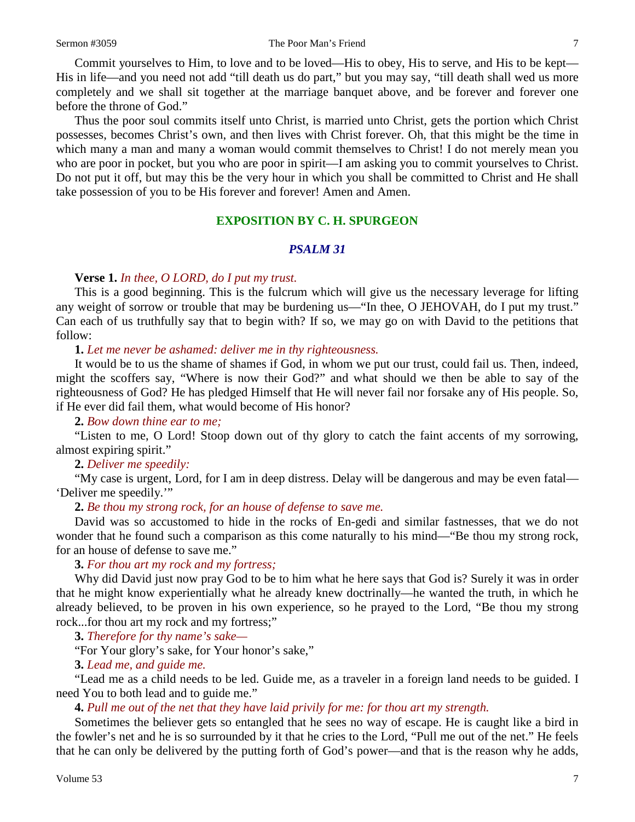Commit yourselves to Him, to love and to be loved—His to obey, His to serve, and His to be kept— His in life—and you need not add "till death us do part," but you may say, "till death shall wed us more completely and we shall sit together at the marriage banquet above, and be forever and forever one before the throne of God."

Thus the poor soul commits itself unto Christ, is married unto Christ, gets the portion which Christ possesses, becomes Christ's own, and then lives with Christ forever. Oh, that this might be the time in which many a man and many a woman would commit themselves to Christ! I do not merely mean you who are poor in pocket, but you who are poor in spirit—I am asking you to commit yourselves to Christ. Do not put it off, but may this be the very hour in which you shall be committed to Christ and He shall take possession of you to be His forever and forever! Amen and Amen.

## **EXPOSITION BY C. H. SPURGEON**

### *PSALM 31*

#### **Verse 1.** *In thee, O LORD, do I put my trust.*

This is a good beginning. This is the fulcrum which will give us the necessary leverage for lifting any weight of sorrow or trouble that may be burdening us—"In thee, O JEHOVAH, do I put my trust." Can each of us truthfully say that to begin with? If so, we may go on with David to the petitions that follow:

## **1.** *Let me never be ashamed: deliver me in thy righteousness.*

It would be to us the shame of shames if God, in whom we put our trust, could fail us. Then, indeed, might the scoffers say, "Where is now their God?" and what should we then be able to say of the righteousness of God? He has pledged Himself that He will never fail nor forsake any of His people. So, if He ever did fail them, what would become of His honor?

#### **2.** *Bow down thine ear to me;*

"Listen to me, O Lord! Stoop down out of thy glory to catch the faint accents of my sorrowing, almost expiring spirit."

### **2.** *Deliver me speedily:*

"My case is urgent, Lord, for I am in deep distress. Delay will be dangerous and may be even fatal— 'Deliver me speedily.'"

**2.** *Be thou my strong rock, for an house of defense to save me.*

David was so accustomed to hide in the rocks of En-gedi and similar fastnesses, that we do not wonder that he found such a comparison as this come naturally to his mind—"Be thou my strong rock, for an house of defense to save me."

## **3.** *For thou art my rock and my fortress;*

Why did David just now pray God to be to him what he here says that God is? Surely it was in order that he might know experientially what he already knew doctrinally—he wanted the truth, in which he already believed, to be proven in his own experience, so he prayed to the Lord, "Be thou my strong rock...for thou art my rock and my fortress;"

**3.** *Therefore for thy name's sake—*

"For Your glory's sake, for Your honor's sake,"

**3.** *Lead me, and guide me.*

"Lead me as a child needs to be led. Guide me, as a traveler in a foreign land needs to be guided. I need You to both lead and to guide me."

## **4.** *Pull me out of the net that they have laid privily for me: for thou art my strength.*

Sometimes the believer gets so entangled that he sees no way of escape. He is caught like a bird in the fowler's net and he is so surrounded by it that he cries to the Lord, "Pull me out of the net." He feels that he can only be delivered by the putting forth of God's power—and that is the reason why he adds,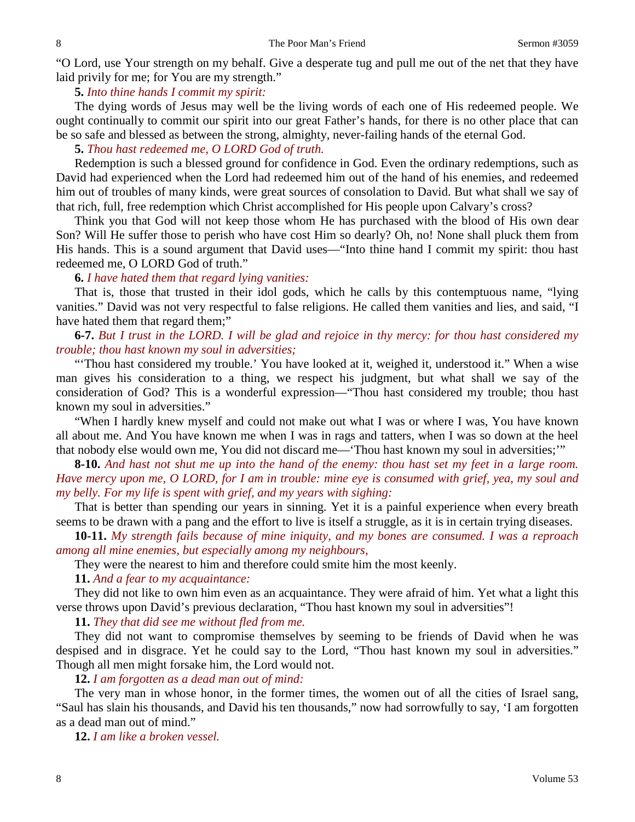"O Lord, use Your strength on my behalf. Give a desperate tug and pull me out of the net that they have laid privily for me; for You are my strength."

## **5.** *Into thine hands I commit my spirit:*

The dying words of Jesus may well be the living words of each one of His redeemed people. We ought continually to commit our spirit into our great Father's hands, for there is no other place that can be so safe and blessed as between the strong, almighty, never-failing hands of the eternal God.

## **5.** *Thou hast redeemed me, O LORD God of truth.*

Redemption is such a blessed ground for confidence in God. Even the ordinary redemptions, such as David had experienced when the Lord had redeemed him out of the hand of his enemies, and redeemed him out of troubles of many kinds, were great sources of consolation to David. But what shall we say of that rich, full, free redemption which Christ accomplished for His people upon Calvary's cross?

Think you that God will not keep those whom He has purchased with the blood of His own dear Son? Will He suffer those to perish who have cost Him so dearly? Oh, no! None shall pluck them from His hands. This is a sound argument that David uses—"Into thine hand I commit my spirit: thou hast redeemed me, O LORD God of truth."

**6.** *I have hated them that regard lying vanities:*

That is, those that trusted in their idol gods, which he calls by this contemptuous name, "lying vanities." David was not very respectful to false religions. He called them vanities and lies, and said, "I have hated them that regard them;"

**6-7.** *But I trust in the LORD. I will be glad and rejoice in thy mercy: for thou hast considered my trouble; thou hast known my soul in adversities;*

"Thou hast considered my trouble.' You have looked at it, weighed it, understood it." When a wise man gives his consideration to a thing, we respect his judgment, but what shall we say of the consideration of God? This is a wonderful expression—"Thou hast considered my trouble; thou hast known my soul in adversities."

"When I hardly knew myself and could not make out what I was or where I was, You have known all about me. And You have known me when I was in rags and tatters, when I was so down at the heel that nobody else would own me, You did not discard me—'Thou hast known my soul in adversities;'"

**8-10.** *And hast not shut me up into the hand of the enemy: thou hast set my feet in a large room. Have mercy upon me, O LORD, for I am in trouble: mine eye is consumed with grief, yea, my soul and my belly. For my life is spent with grief, and my years with sighing:* 

That is better than spending our years in sinning. Yet it is a painful experience when every breath seems to be drawn with a pang and the effort to live is itself a struggle, as it is in certain trying diseases.

**10-11.** *My strength fails because of mine iniquity, and my bones are consumed. I was a reproach among all mine enemies, but especially among my neighbours,*

They were the nearest to him and therefore could smite him the most keenly.

**11.** *And a fear to my acquaintance:*

They did not like to own him even as an acquaintance. They were afraid of him. Yet what a light this verse throws upon David's previous declaration, "Thou hast known my soul in adversities"!

**11.** *They that did see me without fled from me.*

They did not want to compromise themselves by seeming to be friends of David when he was despised and in disgrace. Yet he could say to the Lord, "Thou hast known my soul in adversities." Though all men might forsake him, the Lord would not.

**12.** *I am forgotten as a dead man out of mind:*

The very man in whose honor, in the former times, the women out of all the cities of Israel sang, "Saul has slain his thousands, and David his ten thousands," now had sorrowfully to say, 'I am forgotten as a dead man out of mind."

**12.** *I am like a broken vessel.*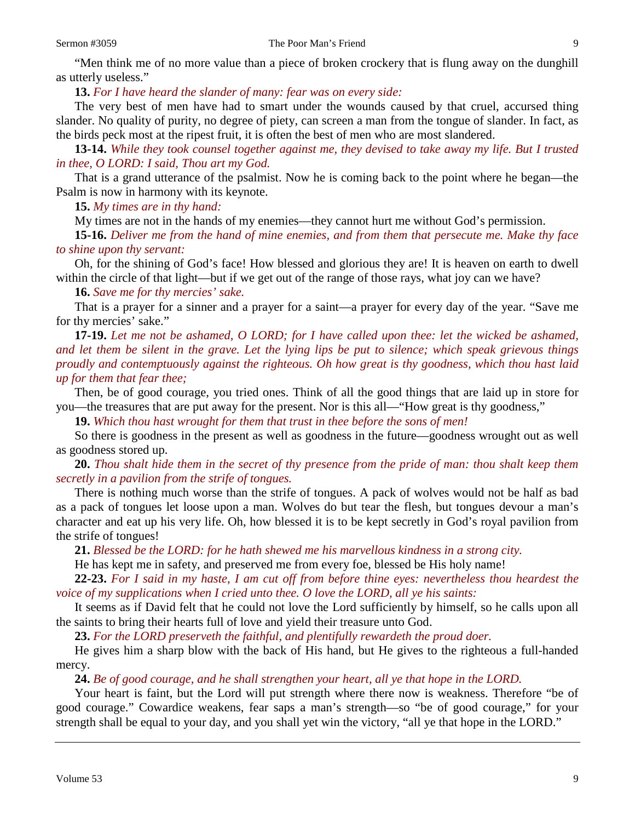"Men think me of no more value than a piece of broken crockery that is flung away on the dunghill as utterly useless."

**13.** *For I have heard the slander of many: fear was on every side:*

The very best of men have had to smart under the wounds caused by that cruel, accursed thing slander. No quality of purity, no degree of piety, can screen a man from the tongue of slander. In fact, as the birds peck most at the ripest fruit, it is often the best of men who are most slandered.

**13-14.** *While they took counsel together against me, they devised to take away my life. But I trusted in thee, O LORD: I said, Thou art my God.*

That is a grand utterance of the psalmist. Now he is coming back to the point where he began—the Psalm is now in harmony with its keynote.

**15.** *My times are in thy hand:*

My times are not in the hands of my enemies—they cannot hurt me without God's permission.

**15-16.** *Deliver me from the hand of mine enemies, and from them that persecute me. Make thy face to shine upon thy servant:*

Oh, for the shining of God's face! How blessed and glorious they are! It is heaven on earth to dwell within the circle of that light—but if we get out of the range of those rays, what joy can we have?

**16.** *Save me for thy mercies' sake.*

That is a prayer for a sinner and a prayer for a saint—a prayer for every day of the year. "Save me for thy mercies' sake."

**17-19.** *Let me not be ashamed, O LORD; for I have called upon thee: let the wicked be ashamed, and let them be silent in the grave. Let the lying lips be put to silence; which speak grievous things proudly and contemptuously against the righteous. Oh how great is thy goodness, which thou hast laid up for them that fear thee;*

Then, be of good courage, you tried ones. Think of all the good things that are laid up in store for you—the treasures that are put away for the present. Nor is this all—"How great is thy goodness,"

**19.** *Which thou hast wrought for them that trust in thee before the sons of men!*

So there is goodness in the present as well as goodness in the future—goodness wrought out as well as goodness stored up.

**20.** *Thou shalt hide them in the secret of thy presence from the pride of man: thou shalt keep them secretly in a pavilion from the strife of tongues.*

There is nothing much worse than the strife of tongues. A pack of wolves would not be half as bad as a pack of tongues let loose upon a man. Wolves do but tear the flesh, but tongues devour a man's character and eat up his very life. Oh, how blessed it is to be kept secretly in God's royal pavilion from the strife of tongues!

**21.** *Blessed be the LORD: for he hath shewed me his marvellous kindness in a strong city.*

He has kept me in safety, and preserved me from every foe, blessed be His holy name!

**22-23.** *For I said in my haste, I am cut off from before thine eyes: nevertheless thou heardest the voice of my supplications when I cried unto thee. O love the LORD, all ye his saints:*

It seems as if David felt that he could not love the Lord sufficiently by himself, so he calls upon all the saints to bring their hearts full of love and yield their treasure unto God.

**23.** *For the LORD preserveth the faithful, and plentifully rewardeth the proud doer.*

He gives him a sharp blow with the back of His hand, but He gives to the righteous a full-handed mercy.

**24.** *Be of good courage, and he shall strengthen your heart, all ye that hope in the LORD.*

Your heart is faint, but the Lord will put strength where there now is weakness. Therefore "be of good courage." Cowardice weakens, fear saps a man's strength—so "be of good courage," for your strength shall be equal to your day, and you shall yet win the victory, "all ye that hope in the LORD."